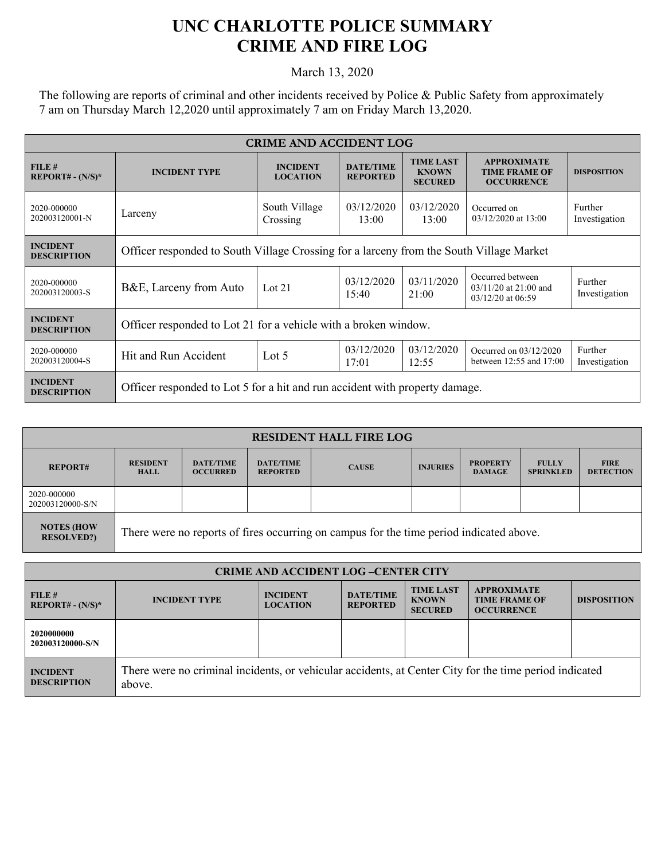## **UNC CHARLOTTE POLICE SUMMARY CRIME AND FIRE LOG**

March 13, 2020

The following are reports of criminal and other incidents received by Police & Public Safety from approximately 7 am on Thursday March 12,2020 until approximately 7 am on Friday March 13,2020.

| <b>CRIME AND ACCIDENT LOG</b>         |                                                                                         |                                    |                                     |                                                    |                                                                      |                          |  |
|---------------------------------------|-----------------------------------------------------------------------------------------|------------------------------------|-------------------------------------|----------------------------------------------------|----------------------------------------------------------------------|--------------------------|--|
| FILE#<br>$REPORT# - (N/S)*$           | <b>INCIDENT TYPE</b>                                                                    | <b>INCIDENT</b><br><b>LOCATION</b> | <b>DATE/TIME</b><br><b>REPORTED</b> | <b>TIME LAST</b><br><b>KNOWN</b><br><b>SECURED</b> | <b>APPROXIMATE</b><br><b>TIME FRAME OF</b><br><b>OCCURRENCE</b>      | <b>DISPOSITION</b>       |  |
| 2020-000000<br>202003120001-N         | Larceny                                                                                 | South Village<br>Crossing          | 03/12/2020<br>13:00                 | 03/12/2020<br>13:00                                | Occurred on<br>03/12/2020 at 13:00                                   | Further<br>Investigation |  |
| <b>INCIDENT</b><br><b>DESCRIPTION</b> | Officer responded to South Village Crossing for a larceny from the South Village Market |                                    |                                     |                                                    |                                                                      |                          |  |
| 2020-000000<br>202003120003-S         | B&E, Larceny from Auto                                                                  | Lot $21$                           | 03/12/2020<br>15:40                 | 03/11/2020<br>21:00                                | Occurred between<br>$03/11/20$ at 21:00 and<br>$03/12/20$ at $06:59$ | Further<br>Investigation |  |
| <b>INCIDENT</b><br><b>DESCRIPTION</b> | Officer responded to Lot 21 for a vehicle with a broken window.                         |                                    |                                     |                                                    |                                                                      |                          |  |
| 2020-000000<br>202003120004-S         | Hit and Run Accident                                                                    | Lot $5$                            | 03/12/2020<br>17:01                 | 03/12/2020<br>12:55                                | Occurred on 03/12/2020<br>between $12:55$ and $17:00$                | Further<br>Investigation |  |
| <b>INCIDENT</b><br><b>DESCRIPTION</b> | Officer responded to Lot 5 for a hit and run accident with property damage.             |                                    |                                     |                                                    |                                                                      |                          |  |

| <b>RESIDENT HALL FIRE LOG</b>          |                                                                                         |                                     |                                     |              |                 |                                  |                                  |                                 |
|----------------------------------------|-----------------------------------------------------------------------------------------|-------------------------------------|-------------------------------------|--------------|-----------------|----------------------------------|----------------------------------|---------------------------------|
| <b>REPORT#</b>                         | <b>RESIDENT</b><br><b>HALL</b>                                                          | <b>DATE/TIME</b><br><b>OCCURRED</b> | <b>DATE/TIME</b><br><b>REPORTED</b> | <b>CAUSE</b> | <b>INJURIES</b> | <b>PROPERTY</b><br><b>DAMAGE</b> | <b>FULLY</b><br><b>SPRINKLED</b> | <b>FIRE</b><br><b>DETECTION</b> |
| 2020-000000<br>202003120000-S/N        |                                                                                         |                                     |                                     |              |                 |                                  |                                  |                                 |
| <b>NOTES (HOW</b><br><b>RESOLVED?)</b> | There were no reports of fires occurring on campus for the time period indicated above. |                                     |                                     |              |                 |                                  |                                  |                                 |

| <b>CRIME AND ACCIDENT LOG-CENTER CITY</b> |                                                                                                                  |                                    |                                     |                                                    |                                                                 |                    |
|-------------------------------------------|------------------------------------------------------------------------------------------------------------------|------------------------------------|-------------------------------------|----------------------------------------------------|-----------------------------------------------------------------|--------------------|
| FILE#<br>$REPORT# - (N/S)*$               | <b>INCIDENT TYPE</b>                                                                                             | <b>INCIDENT</b><br><b>LOCATION</b> | <b>DATE/TIME</b><br><b>REPORTED</b> | <b>TIME LAST</b><br><b>KNOWN</b><br><b>SECURED</b> | <b>APPROXIMATE</b><br><b>TIME FRAME OF</b><br><b>OCCURRENCE</b> | <b>DISPOSITION</b> |
| 2020000000<br>202003120000-S/N            |                                                                                                                  |                                    |                                     |                                                    |                                                                 |                    |
| <b>INCIDENT</b><br><b>DESCRIPTION</b>     | There were no criminal incidents, or vehicular accidents, at Center City for the time period indicated<br>above. |                                    |                                     |                                                    |                                                                 |                    |